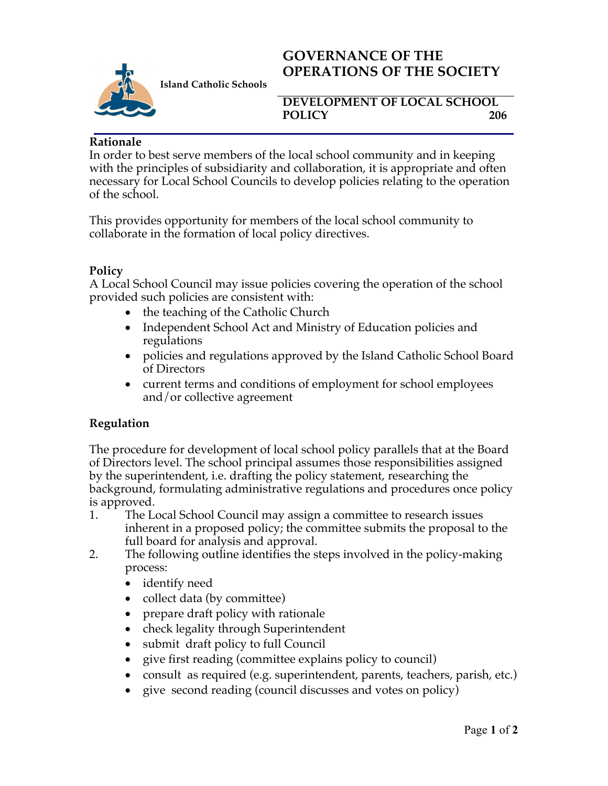

**Island Catholic Schools** 

# **GOVERNANCE OF THE OPERATIONS OF THE SOCIETY**

#### **DEVELOPMENT OF LOCAL SCHOOL**  POLICY 206

### **Rationale**

In order to best serve members of the local school community and in keeping with the principles of subsidiarity and collaboration, it is appropriate and often necessary for Local School Councils to develop policies relating to the operation of the school.

This provides opportunity for members of the local school community to collaborate in the formation of local policy directives.

### **Policy**

A Local School Council may issue policies covering the operation of the school provided such policies are consistent with:

- the teaching of the Catholic Church
- Independent School Act and Ministry of Education policies and regulations
- policies and regulations approved by the Island Catholic School Board of Directors
- current terms and conditions of employment for school employees and/or collective agreement

## **Regulation**

The procedure for development of local school policy parallels that at the Board of Directors level. The school principal assumes those responsibilities assigned by the superintendent, i.e. drafting the policy statement, researching the background, formulating administrative regulations and procedures once policy is approved.

- 1. The Local School Council may assign a committee to research issues inherent in a proposed policy; the committee submits the proposal to the full board for analysis and approval.
- 2. The following outline identifies the steps involved in the policy-making process:
	- identify need
	- collect data (by committee)
	- prepare draft policy with rationale
	- check legality through Superintendent
	- submit draft policy to full Council
	- give first reading (committee explains policy to council)
	- consult as required (e.g. superintendent, parents, teachers, parish, etc.)
	- give second reading (council discusses and votes on policy)